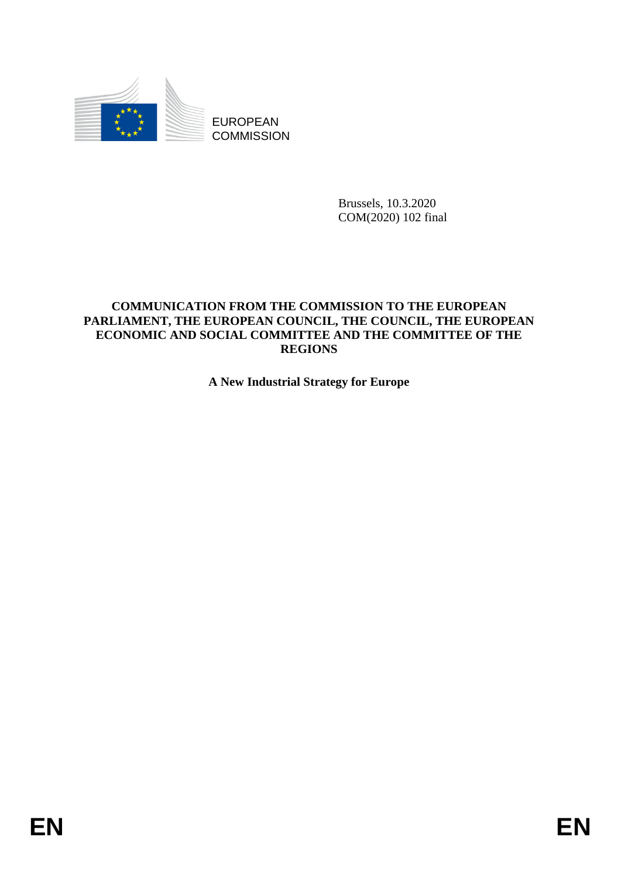

Brussels, 10.3.2020 COM(2020) 102 final

# **COMMUNICATION FROM THE COMMISSION TO THE EUROPEAN PARLIAMENT, THE EUROPEAN COUNCIL, THE COUNCIL, THE EUROPEAN ECONOMIC AND SOCIAL COMMITTEE AND THE COMMITTEE OF THE REGIONS**

**A New Industrial Strategy for Europe**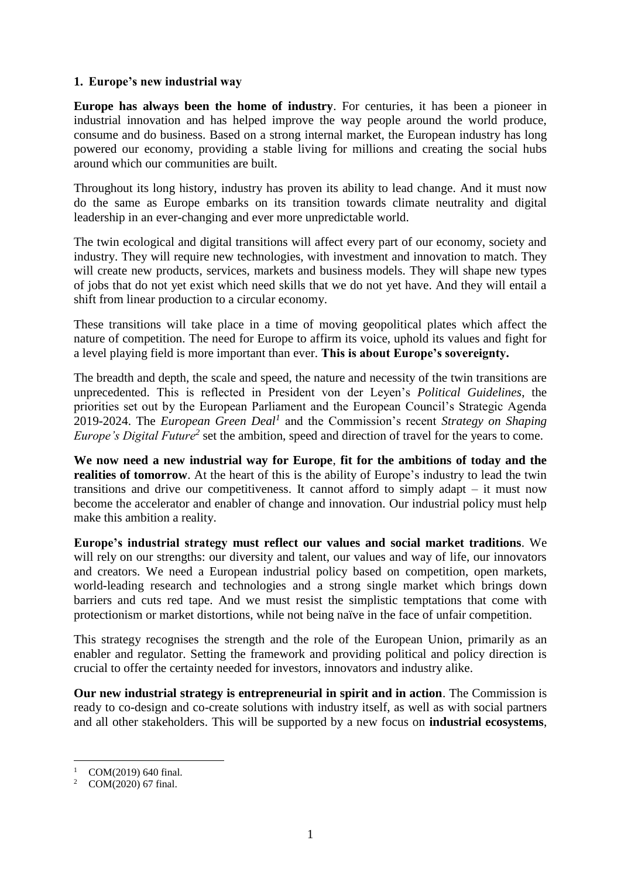### **1. Europe's new industrial way**

**Europe has always been the home of industry**. For centuries, it has been a pioneer in industrial innovation and has helped improve the way people around the world produce, consume and do business. Based on a strong internal market, the European industry has long powered our economy, providing a stable living for millions and creating the social hubs around which our communities are built.

Throughout its long history, industry has proven its ability to lead change. And it must now do the same as Europe embarks on its transition towards climate neutrality and digital leadership in an ever-changing and ever more unpredictable world.

The twin ecological and digital transitions will affect every part of our economy, society and industry. They will require new technologies, with investment and innovation to match. They will create new products, services, markets and business models. They will shape new types of jobs that do not yet exist which need skills that we do not yet have. And they will entail a shift from linear production to a circular economy.

These transitions will take place in a time of moving geopolitical plates which affect the nature of competition. The need for Europe to affirm its voice, uphold its values and fight for a level playing field is more important than ever. **This is about Europe's sovereignty.**

The breadth and depth, the scale and speed, the nature and necessity of the twin transitions are unprecedented. This is reflected in President von der Leyen's *Political Guidelines*, the priorities set out by the European Parliament and the European Council's Strategic Agenda 2019-2024. The *European Green Deal<sup>1</sup>* and the Commission's recent *Strategy on Shaping Europe's Digital Future<sup>2</sup>* set the ambition, speed and direction of travel for the years to come.

**We now need a new industrial way for Europe**, **fit for the ambitions of today and the realities of tomorrow.** At the heart of this is the ability of Europe's industry to lead the twin transitions and drive our competitiveness. It cannot afford to simply adapt – it must now become the accelerator and enabler of change and innovation. Our industrial policy must help make this ambition a reality.

**Europe's industrial strategy must reflect our values and social market traditions**. We will rely on our strengths: our diversity and talent, our values and way of life, our innovators and creators. We need a European industrial policy based on competition, open markets, world-leading research and technologies and a strong single market which brings down barriers and cuts red tape. And we must resist the simplistic temptations that come with protectionism or market distortions, while not being naïve in the face of unfair competition.

This strategy recognises the strength and the role of the European Union, primarily as an enabler and regulator. Setting the framework and providing political and policy direction is crucial to offer the certainty needed for investors, innovators and industry alike.

**Our new industrial strategy is entrepreneurial in spirit and in action**. The Commission is ready to co-design and co-create solutions with industry itself, as well as with social partners and all other stakeholders. This will be supported by a new focus on **industrial ecosystems**,

**.** 

COM(2019) 640 final.

<sup>2</sup> COM(2020) 67 final.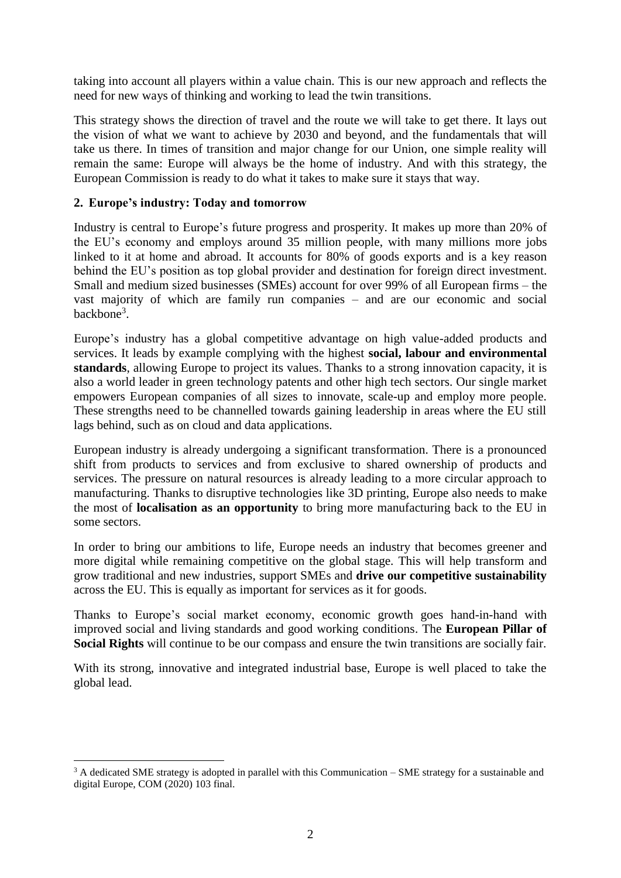taking into account all players within a value chain. This is our new approach and reflects the need for new ways of thinking and working to lead the twin transitions.

This strategy shows the direction of travel and the route we will take to get there. It lays out the vision of what we want to achieve by 2030 and beyond, and the fundamentals that will take us there. In times of transition and major change for our Union, one simple reality will remain the same: Europe will always be the home of industry. And with this strategy, the European Commission is ready to do what it takes to make sure it stays that way.

### **2. Europe's industry: Today and tomorrow**

**.** 

Industry is central to Europe's future progress and prosperity. It makes up more than 20% of the EU's economy and employs around 35 million people, with many millions more jobs linked to it at home and abroad. It accounts for 80% of goods exports and is a key reason behind the EU's position as top global provider and destination for foreign direct investment. Small and medium sized businesses (SMEs) account for over 99% of all European firms – the vast majority of which are family run companies – and are our economic and social backbone<sup>3</sup>.

Europe's industry has a global competitive advantage on high value-added products and services. It leads by example complying with the highest **social, labour and environmental standards**, allowing Europe to project its values. Thanks to a strong innovation capacity, it is also a world leader in green technology patents and other high tech sectors. Our single market empowers European companies of all sizes to innovate, scale-up and employ more people. These strengths need to be channelled towards gaining leadership in areas where the EU still lags behind, such as on cloud and data applications.

European industry is already undergoing a significant transformation. There is a pronounced shift from products to services and from exclusive to shared ownership of products and services. The pressure on natural resources is already leading to a more circular approach to manufacturing. Thanks to disruptive technologies like 3D printing, Europe also needs to make the most of **localisation as an opportunity** to bring more manufacturing back to the EU in some sectors.

In order to bring our ambitions to life, Europe needs an industry that becomes greener and more digital while remaining competitive on the global stage. This will help transform and grow traditional and new industries, support SMEs and **drive our competitive sustainability** across the EU. This is equally as important for services as it for goods.

Thanks to Europe's social market economy, economic growth goes hand-in-hand with improved social and living standards and good working conditions. The **European Pillar of Social Rights** will continue to be our compass and ensure the twin transitions are socially fair.

With its strong, innovative and integrated industrial base, Europe is well placed to take the global lead.

<sup>&</sup>lt;sup>3</sup> A dedicated SME strategy is adopted in parallel with this Communication – SME strategy for a sustainable and digital Europe, COM (2020) 103 final.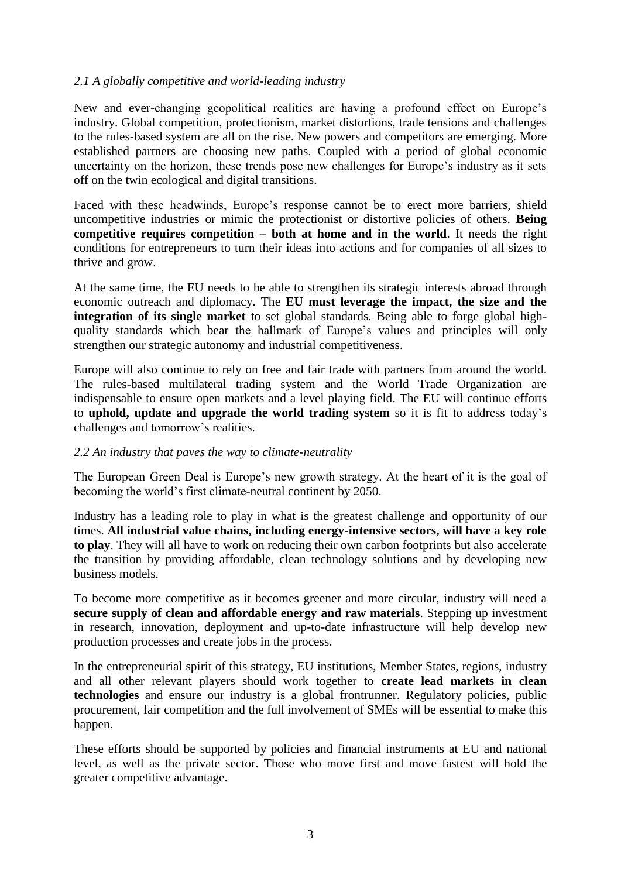### *2.1 A globally competitive and world-leading industry*

New and ever-changing geopolitical realities are having a profound effect on Europe's industry. Global competition, protectionism, market distortions, trade tensions and challenges to the rules-based system are all on the rise. New powers and competitors are emerging. More established partners are choosing new paths. Coupled with a period of global economic uncertainty on the horizon, these trends pose new challenges for Europe's industry as it sets off on the twin ecological and digital transitions.

Faced with these headwinds, Europe's response cannot be to erect more barriers, shield uncompetitive industries or mimic the protectionist or distortive policies of others. **Being competitive requires competition – both at home and in the world**. It needs the right conditions for entrepreneurs to turn their ideas into actions and for companies of all sizes to thrive and grow.

At the same time, the EU needs to be able to strengthen its strategic interests abroad through economic outreach and diplomacy. The **EU must leverage the impact, the size and the integration of its single market** to set global standards. Being able to forge global highquality standards which bear the hallmark of Europe's values and principles will only strengthen our strategic autonomy and industrial competitiveness.

Europe will also continue to rely on free and fair trade with partners from around the world. The rules-based multilateral trading system and the World Trade Organization are indispensable to ensure open markets and a level playing field. The EU will continue efforts to **uphold, update and upgrade the world trading system** so it is fit to address today's challenges and tomorrow's realities.

#### *2.2 An industry that paves the way to climate-neutrality*

The European Green Deal is Europe's new growth strategy. At the heart of it is the goal of becoming the world's first climate-neutral continent by 2050.

Industry has a leading role to play in what is the greatest challenge and opportunity of our times. **All industrial value chains, including energy-intensive sectors, will have a key role to play**. They will all have to work on reducing their own carbon footprints but also accelerate the transition by providing affordable, clean technology solutions and by developing new business models.

To become more competitive as it becomes greener and more circular, industry will need a **secure supply of clean and affordable energy and raw materials**. Stepping up investment in research, innovation, deployment and up-to-date infrastructure will help develop new production processes and create jobs in the process.

In the entrepreneurial spirit of this strategy, EU institutions, Member States, regions, industry and all other relevant players should work together to **create lead markets in clean technologies** and ensure our industry is a global frontrunner. Regulatory policies, public procurement, fair competition and the full involvement of SMEs will be essential to make this happen.

These efforts should be supported by policies and financial instruments at EU and national level, as well as the private sector. Those who move first and move fastest will hold the greater competitive advantage.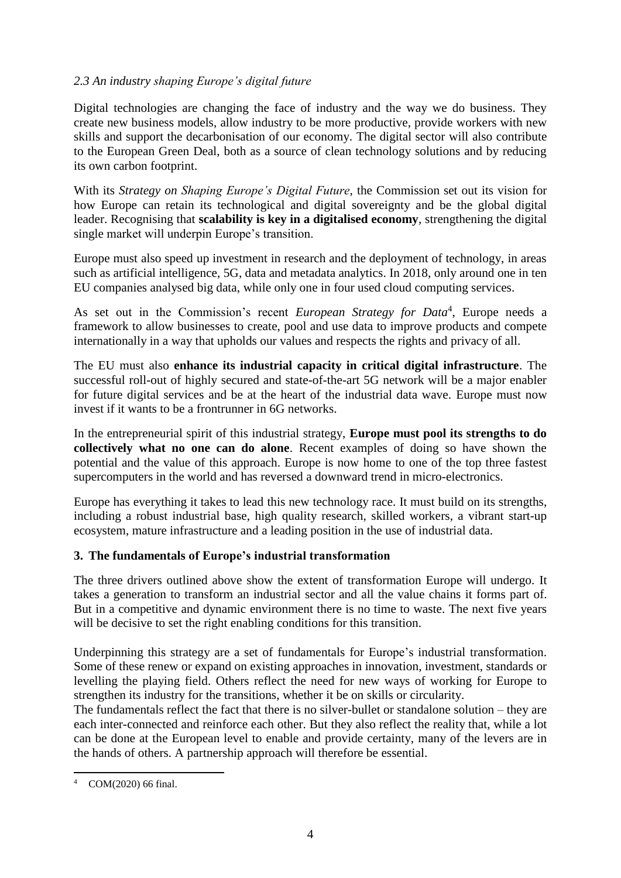# *2.3 An industry shaping Europe's digital future*

Digital technologies are changing the face of industry and the way we do business. They create new business models, allow industry to be more productive, provide workers with new skills and support the decarbonisation of our economy. The digital sector will also contribute to the European Green Deal, both as a source of clean technology solutions and by reducing its own carbon footprint.

With its *Strategy on Shaping Europe's Digital Future*, the Commission set out its vision for how Europe can retain its technological and digital sovereignty and be the global digital leader. Recognising that **scalability is key in a digitalised economy**, strengthening the digital single market will underpin Europe's transition.

Europe must also speed up investment in research and the deployment of technology, in areas such as artificial intelligence, 5G, data and metadata analytics. In 2018, only around one in ten EU companies analysed big data, while only one in four used cloud computing services.

As set out in the Commission's recent *European Strategy for Data*<sup>4</sup> , Europe needs a framework to allow businesses to create, pool and use data to improve products and compete internationally in a way that upholds our values and respects the rights and privacy of all.

The EU must also **enhance its industrial capacity in critical digital infrastructure**. The successful roll-out of highly secured and state-of-the-art 5G network will be a major enabler for future digital services and be at the heart of the industrial data wave. Europe must now invest if it wants to be a frontrunner in 6G networks.

In the entrepreneurial spirit of this industrial strategy, **Europe must pool its strengths to do collectively what no one can do alone**. Recent examples of doing so have shown the potential and the value of this approach. Europe is now home to one of the top three fastest supercomputers in the world and has reversed a downward trend in micro-electronics.

Europe has everything it takes to lead this new technology race. It must build on its strengths, including a robust industrial base, high quality research, skilled workers, a vibrant start-up ecosystem, mature infrastructure and a leading position in the use of industrial data.

## **3. The fundamentals of Europe's industrial transformation**

The three drivers outlined above show the extent of transformation Europe will undergo. It takes a generation to transform an industrial sector and all the value chains it forms part of. But in a competitive and dynamic environment there is no time to waste. The next five years will be decisive to set the right enabling conditions for this transition.

Underpinning this strategy are a set of fundamentals for Europe's industrial transformation. Some of these renew or expand on existing approaches in innovation, investment, standards or levelling the playing field. Others reflect the need for new ways of working for Europe to strengthen its industry for the transitions, whether it be on skills or circularity.

The fundamentals reflect the fact that there is no silver-bullet or standalone solution – they are each inter-connected and reinforce each other. But they also reflect the reality that, while a lot can be done at the European level to enable and provide certainty, many of the levers are in the hands of others. A partnership approach will therefore be essential.

<sup>4</sup> COM(2020) 66 final.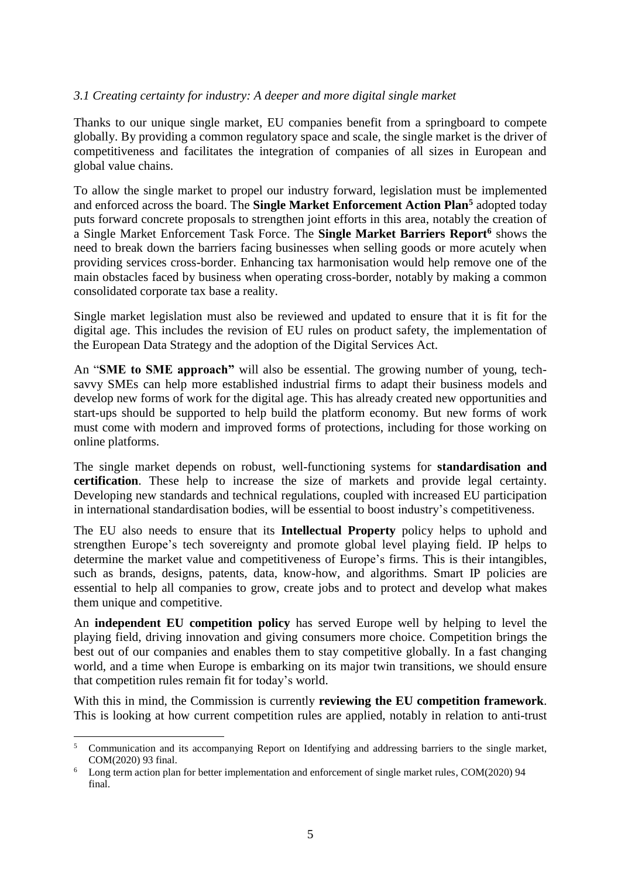### *3.1 Creating certainty for industry: A deeper and more digital single market*

Thanks to our unique single market, EU companies benefit from a springboard to compete globally. By providing a common regulatory space and scale, the single market is the driver of competitiveness and facilitates the integration of companies of all sizes in European and global value chains.

To allow the single market to propel our industry forward, legislation must be implemented and enforced across the board. The **Single Market Enforcement Action Plan<sup>5</sup>** adopted today puts forward concrete proposals to strengthen joint efforts in this area, notably the creation of a Single Market Enforcement Task Force. The **Single Market Barriers Report<sup>6</sup>** shows the need to break down the barriers facing businesses when selling goods or more acutely when providing services cross-border. Enhancing tax harmonisation would help remove one of the main obstacles faced by business when operating cross-border, notably by making a common consolidated corporate tax base a reality.

Single market legislation must also be reviewed and updated to ensure that it is fit for the digital age. This includes the revision of EU rules on product safety, the implementation of the European Data Strategy and the adoption of the Digital Services Act.

An "**SME to SME approach"** will also be essential. The growing number of young, techsavvy SMEs can help more established industrial firms to adapt their business models and develop new forms of work for the digital age. This has already created new opportunities and start-ups should be supported to help build the platform economy. But new forms of work must come with modern and improved forms of protections, including for those working on online platforms.

The single market depends on robust, well-functioning systems for **standardisation and certification**. These help to increase the size of markets and provide legal certainty. Developing new standards and technical regulations, coupled with increased EU participation in international standardisation bodies, will be essential to boost industry's competitiveness.

The EU also needs to ensure that its **Intellectual Property** policy helps to uphold and strengthen Europe's tech sovereignty and promote global level playing field. IP helps to determine the market value and competitiveness of Europe's firms. This is their intangibles, such as brands, designs, patents, data, know-how, and algorithms. Smart IP policies are essential to help all companies to grow, create jobs and to protect and develop what makes them unique and competitive.

An **independent EU competition policy** has served Europe well by helping to level the playing field, driving innovation and giving consumers more choice. Competition brings the best out of our companies and enables them to stay competitive globally. In a fast changing world, and a time when Europe is embarking on its major twin transitions, we should ensure that competition rules remain fit for today's world.

With this in mind, the Commission is currently **reviewing the EU competition framework**. This is looking at how current competition rules are applied, notably in relation to anti-trust

<sup>1</sup> <sup>5</sup> Communication and its accompanying Report on Identifying and addressing barriers to the single market, COM(2020) 93 final.

<sup>&</sup>lt;sup>6</sup> Long term action plan for better implementation and enforcement of single market rules, COM(2020) 94 final.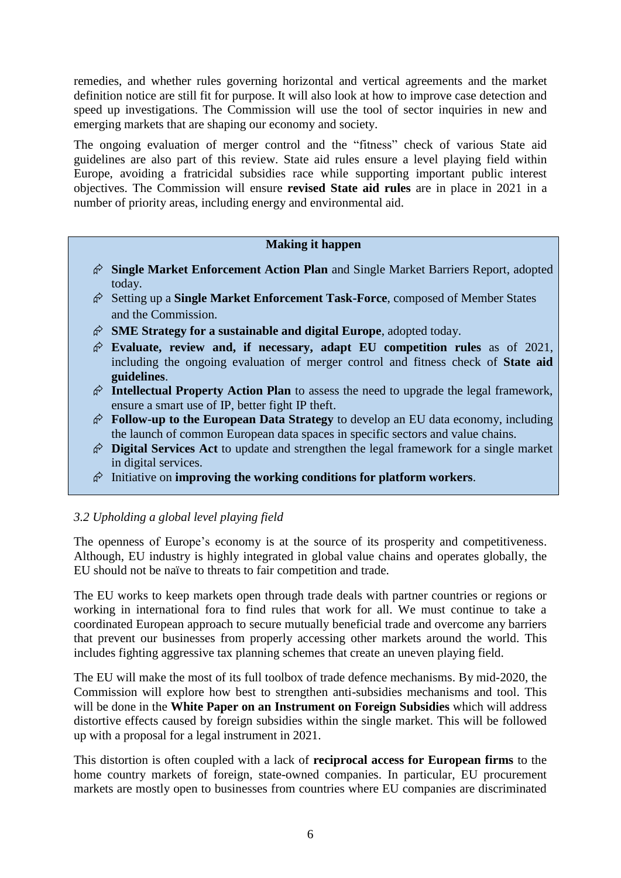remedies, and whether rules governing horizontal and vertical agreements and the market definition notice are still fit for purpose. It will also look at how to improve case detection and speed up investigations. The Commission will use the tool of sector inquiries in new and emerging markets that are shaping our economy and society.

The ongoing evaluation of merger control and the "fitness" check of various State aid guidelines are also part of this review. State aid rules ensure a level playing field within Europe, avoiding a fratricidal subsidies race while supporting important public interest objectives. The Commission will ensure **revised State aid rules** are in place in 2021 in a number of priority areas, including energy and environmental aid.

### **Making it happen**

- **Single Market Enforcement Action Plan** and Single Market Barriers Report, adopted today.
- Setting up a **Single Market Enforcement Task-Force**, composed of Member States and the Commission.
- **SME Strategy for a sustainable and digital Europe**, adopted today.
- **Evaluate, review and, if necessary, adapt EU competition rules** as of 2021, including the ongoing evaluation of merger control and fitness check of **State aid guidelines**.
- **Intellectual Property Action Plan** to assess the need to upgrade the legal framework, ensure a smart use of IP, better fight IP theft.
- **Follow-up to the European Data Strategy** to develop an EU data economy, including the launch of common European data spaces in specific sectors and value chains.
- **Digital Services Act** to update and strengthen the legal framework for a single market in digital services.
- Initiative on **improving the working conditions for platform workers**.

## *3.2 Upholding a global level playing field*

The openness of Europe's economy is at the source of its prosperity and competitiveness. Although, EU industry is highly integrated in global value chains and operates globally, the EU should not be naïve to threats to fair competition and trade.

The EU works to keep markets open through trade deals with partner countries or regions or working in international fora to find rules that work for all. We must continue to take a coordinated European approach to secure mutually beneficial trade and overcome any barriers that prevent our businesses from properly accessing other markets around the world. This includes fighting aggressive tax planning schemes that create an uneven playing field.

The EU will make the most of its full toolbox of trade defence mechanisms. By mid-2020, the Commission will explore how best to strengthen anti-subsidies mechanisms and tool. This will be done in the **White Paper on an Instrument on Foreign Subsidies** which will address distortive effects caused by foreign subsidies within the single market. This will be followed up with a proposal for a legal instrument in 2021.

This distortion is often coupled with a lack of **reciprocal access for European firms** to the home country markets of foreign, state-owned companies. In particular, EU procurement markets are mostly open to businesses from countries where EU companies are discriminated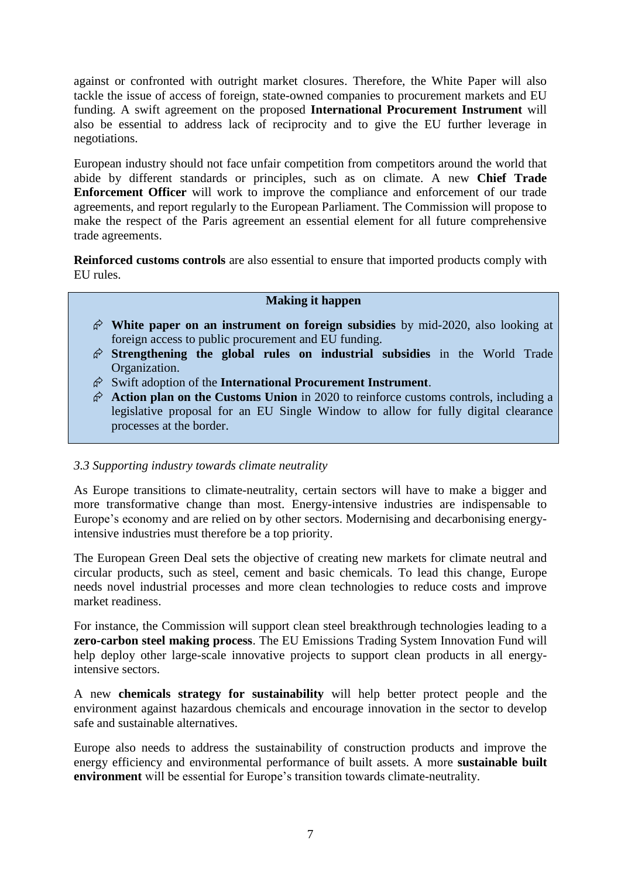against or confronted with outright market closures. Therefore, the White Paper will also tackle the issue of access of foreign, state-owned companies to procurement markets and EU funding. A swift agreement on the proposed **International Procurement Instrument** will also be essential to address lack of reciprocity and to give the EU further leverage in negotiations.

European industry should not face unfair competition from competitors around the world that abide by different standards or principles, such as on climate. A new **Chief Trade Enforcement Officer** will work to improve the compliance and enforcement of our trade agreements, and report regularly to the European Parliament. The Commission will propose to make the respect of the Paris agreement an essential element for all future comprehensive trade agreements.

**Reinforced customs controls** are also essential to ensure that imported products comply with EU rules.

#### **Making it happen**

- **White paper on an instrument on foreign subsidies** by mid-2020, also looking at foreign access to public procurement and EU funding.
- **Strengthening the global rules on industrial subsidies** in the World Trade Organization.
- Swift adoption of the **International Procurement Instrument**.
- **Action plan on the Customs Union** in 2020 to reinforce customs controls, including a legislative proposal for an EU Single Window to allow for fully digital clearance processes at the border.

#### *3.3 Supporting industry towards climate neutrality*

As Europe transitions to climate-neutrality, certain sectors will have to make a bigger and more transformative change than most. Energy-intensive industries are indispensable to Europe's economy and are relied on by other sectors. Modernising and decarbonising energyintensive industries must therefore be a top priority.

The European Green Deal sets the objective of creating new markets for climate neutral and circular products, such as steel, cement and basic chemicals. To lead this change, Europe needs novel industrial processes and more clean technologies to reduce costs and improve market readiness.

For instance, the Commission will support clean steel breakthrough technologies leading to a **zero-carbon steel making process**. The EU Emissions Trading System Innovation Fund will help deploy other large-scale innovative projects to support clean products in all energyintensive sectors.

A new **chemicals strategy for sustainability** will help better protect people and the environment against hazardous chemicals and encourage innovation in the sector to develop safe and sustainable alternatives.

Europe also needs to address the sustainability of construction products and improve the energy efficiency and environmental performance of built assets. A more **sustainable built environment** will be essential for Europe's transition towards climate-neutrality.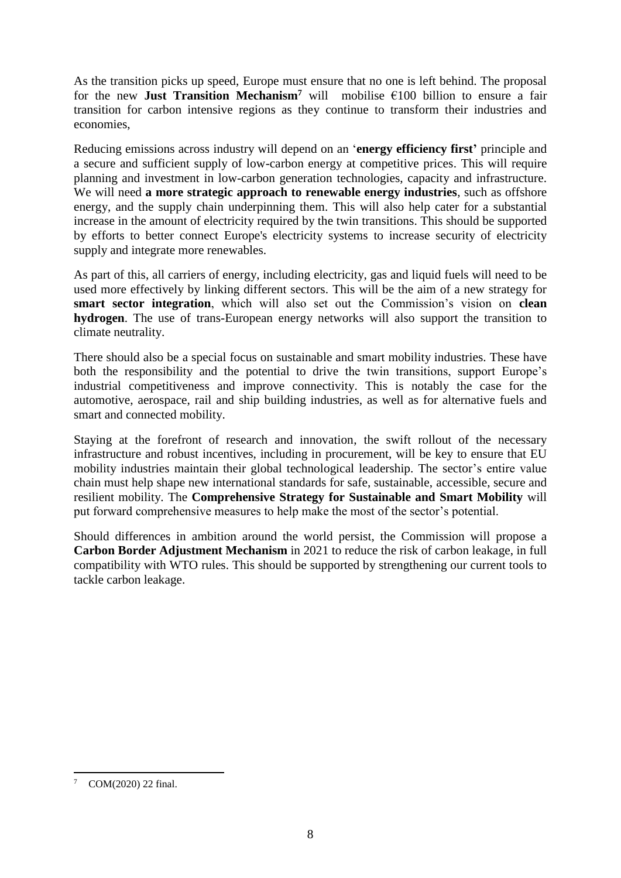As the transition picks up speed, Europe must ensure that no one is left behind. The proposal for the new **Just Transition Mechanism<sup>7</sup>** will mobilise  $\epsilon$ 100 billion to ensure a fair transition for carbon intensive regions as they continue to transform their industries and economies,

Reducing emissions across industry will depend on an '**energy efficiency first'** principle and a secure and sufficient supply of low-carbon energy at competitive prices. This will require planning and investment in low-carbon generation technologies, capacity and infrastructure. We will need **a more strategic approach to renewable energy industries**, such as offshore energy, and the supply chain underpinning them. This will also help cater for a substantial increase in the amount of electricity required by the twin transitions. This should be supported by efforts to better connect Europe's electricity systems to increase security of electricity supply and integrate more renewables.

As part of this, all carriers of energy, including electricity, gas and liquid fuels will need to be used more effectively by linking different sectors. This will be the aim of a new strategy for **smart sector integration**, which will also set out the Commission's vision on **clean hydrogen**. The use of trans-European energy networks will also support the transition to climate neutrality.

There should also be a special focus on sustainable and smart mobility industries. These have both the responsibility and the potential to drive the twin transitions, support Europe's industrial competitiveness and improve connectivity. This is notably the case for the automotive, aerospace, rail and ship building industries, as well as for alternative fuels and smart and connected mobility.

Staying at the forefront of research and innovation, the swift rollout of the necessary infrastructure and robust incentives, including in procurement, will be key to ensure that EU mobility industries maintain their global technological leadership. The sector's entire value chain must help shape new international standards for safe, sustainable, accessible, secure and resilient mobility. The **Comprehensive Strategy for Sustainable and Smart Mobility** will put forward comprehensive measures to help make the most of the sector's potential.

Should differences in ambition around the world persist, the Commission will propose a **Carbon Border Adjustment Mechanism** in 2021 to reduce the risk of carbon leakage, in full compatibility with WTO rules. This should be supported by strengthening our current tools to tackle carbon leakage.

COM(2020) 22 final.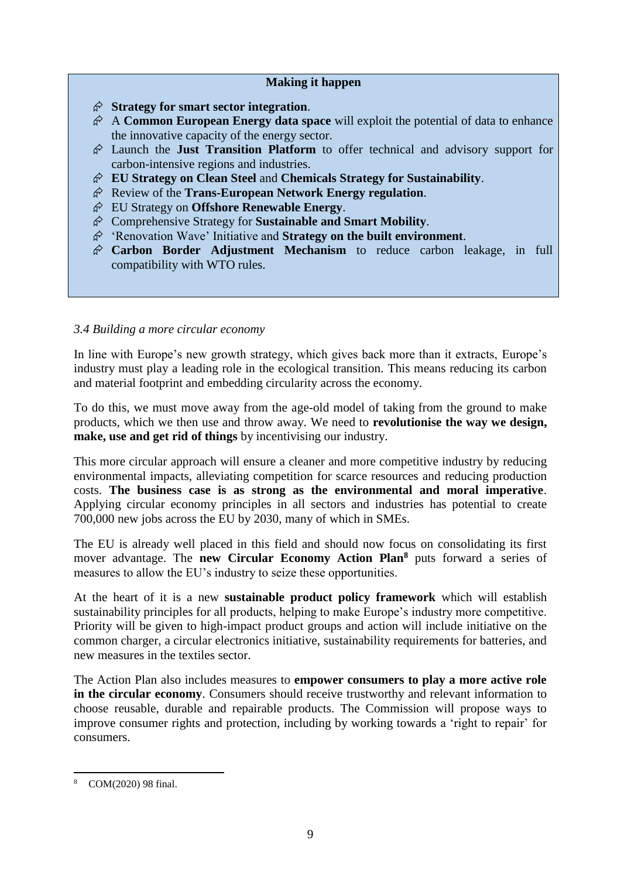### **Making it happen**

- **Strategy for smart sector integration**.
- A **Common European Energy data space** will exploit the potential of data to enhance the innovative capacity of the energy sector.
- Launch the **Just Transition Platform** to offer technical and advisory support for carbon-intensive regions and industries.
- **EU Strategy on Clean Steel** and **Chemicals Strategy for Sustainability**.
- Review of the **Trans-European Network Energy regulation**.
- EU Strategy on **Offshore Renewable Energy**.
- Comprehensive Strategy for **Sustainable and Smart Mobility**.
- 'Renovation Wave' Initiative and **Strategy on the built environment**.
- **Carbon Border Adjustment Mechanism** to reduce carbon leakage, in full compatibility with WTO rules.

## *3.4 Building a more circular economy*

In line with Europe's new growth strategy, which gives back more than it extracts, Europe's industry must play a leading role in the ecological transition. This means reducing its carbon and material footprint and embedding circularity across the economy.

To do this, we must move away from the age-old model of taking from the ground to make products, which we then use and throw away. We need to **revolutionise the way we design, make, use and get rid of things** by incentivising our industry.

This more circular approach will ensure a cleaner and more competitive industry by reducing environmental impacts, alleviating competition for scarce resources and reducing production costs. **The business case is as strong as the environmental and moral imperative**. Applying circular economy principles in all sectors and industries has potential to create 700,000 new jobs across the EU by 2030, many of which in SMEs.

The EU is already well placed in this field and should now focus on consolidating its first mover advantage. The **new Circular Economy Action Plan<sup>8</sup>** puts forward a series of measures to allow the EU's industry to seize these opportunities.

At the heart of it is a new **sustainable product policy framework** which will establish sustainability principles for all products, helping to make Europe's industry more competitive. Priority will be given to high-impact product groups and action will include initiative on the common charger, a circular electronics initiative, sustainability requirements for batteries, and new measures in the textiles sector.

The Action Plan also includes measures to **empower consumers to play a more active role in the circular economy**. Consumers should receive trustworthy and relevant information to choose reusable, durable and repairable products. The Commission will propose ways to improve consumer rights and protection, including by working towards a 'right to repair' for consumers.

<sup>8</sup> COM(2020) 98 final.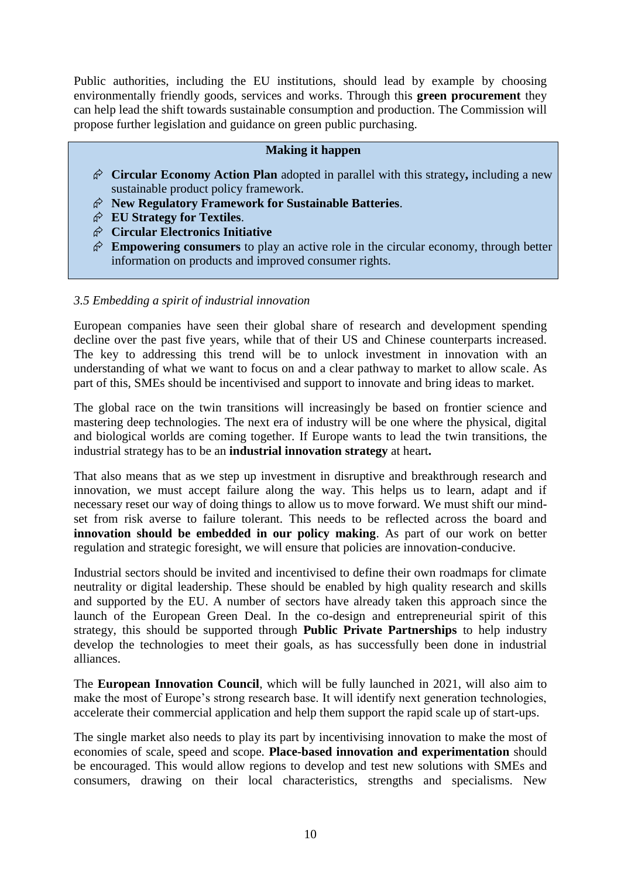Public authorities, including the EU institutions, should lead by example by choosing environmentally friendly goods, services and works. Through this **green procurement** they can help lead the shift towards sustainable consumption and production. The Commission will propose further legislation and guidance on green public purchasing.

### **Making it happen**

- **Circular Economy Action Plan** adopted in parallel with this strategy**,** including a new sustainable product policy framework.
- **New Regulatory Framework for Sustainable Batteries**.
- **EU Strategy for Textiles**.
- **Circular Electronics Initiative**
- $\hat{\varphi}$  **Empowering consumers** to play an active role in the circular economy, through better information on products and improved consumer rights.

#### *3.5 Embedding a spirit of industrial innovation*

European companies have seen their global share of research and development spending decline over the past five years, while that of their US and Chinese counterparts increased. The key to addressing this trend will be to unlock investment in innovation with an understanding of what we want to focus on and a clear pathway to market to allow scale. As part of this, SMEs should be incentivised and support to innovate and bring ideas to market.

The global race on the twin transitions will increasingly be based on frontier science and mastering deep technologies. The next era of industry will be one where the physical, digital and biological worlds are coming together. If Europe wants to lead the twin transitions, the industrial strategy has to be an **industrial innovation strategy** at heart**.** 

That also means that as we step up investment in disruptive and breakthrough research and innovation, we must accept failure along the way. This helps us to learn, adapt and if necessary reset our way of doing things to allow us to move forward. We must shift our mindset from risk averse to failure tolerant. This needs to be reflected across the board and **innovation should be embedded in our policy making**. As part of our work on better regulation and strategic foresight, we will ensure that policies are innovation-conducive.

Industrial sectors should be invited and incentivised to define their own roadmaps for climate neutrality or digital leadership. These should be enabled by high quality research and skills and supported by the EU. A number of sectors have already taken this approach since the launch of the European Green Deal. In the co-design and entrepreneurial spirit of this strategy, this should be supported through **Public Private Partnerships** to help industry develop the technologies to meet their goals, as has successfully been done in industrial alliances.

The **European Innovation Council**, which will be fully launched in 2021, will also aim to make the most of Europe's strong research base. It will identify next generation technologies, accelerate their commercial application and help them support the rapid scale up of start-ups.

The single market also needs to play its part by incentivising innovation to make the most of economies of scale, speed and scope. **Place-based innovation and experimentation** should be encouraged. This would allow regions to develop and test new solutions with SMEs and consumers, drawing on their local characteristics, strengths and specialisms. New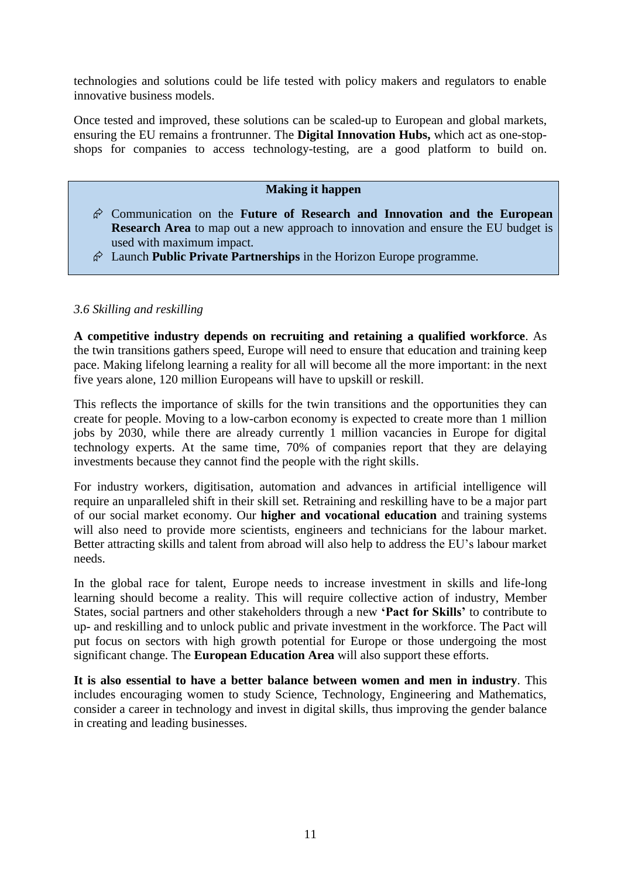technologies and solutions could be life tested with policy makers and regulators to enable innovative business models.

Once tested and improved, these solutions can be scaled-up to European and global markets, ensuring the EU remains a frontrunner. The **Digital Innovation Hubs,** which act as one-stopshops for companies to access technology-testing, are a good platform to build on.

### **Making it happen**

- Communication on the **Future of Research and Innovation and the European Research Area** to map out a new approach to innovation and ensure the EU budget is used with maximum impact.
- Launch **Public Private Partnerships** in the Horizon Europe programme.

### *3.6 Skilling and reskilling*

**A competitive industry depends on recruiting and retaining a qualified workforce**. As the twin transitions gathers speed, Europe will need to ensure that education and training keep pace. Making lifelong learning a reality for all will become all the more important: in the next five years alone, 120 million Europeans will have to upskill or reskill.

This reflects the importance of skills for the twin transitions and the opportunities they can create for people. Moving to a low-carbon economy is expected to create more than 1 million jobs by 2030, while there are already currently 1 million vacancies in Europe for digital technology experts. At the same time, 70% of companies report that they are delaying investments because they cannot find the people with the right skills.

For industry workers, digitisation, automation and advances in artificial intelligence will require an unparalleled shift in their skill set. Retraining and reskilling have to be a major part of our social market economy. Our **higher and vocational education** and training systems will also need to provide more scientists, engineers and technicians for the labour market. Better attracting skills and talent from abroad will also help to address the EU's labour market needs.

In the global race for talent, Europe needs to increase investment in skills and life-long learning should become a reality. This will require collective action of industry, Member States, social partners and other stakeholders through a new **'Pact for Skills'** to contribute to up- and reskilling and to unlock public and private investment in the workforce. The Pact will put focus on sectors with high growth potential for Europe or those undergoing the most significant change. The **European Education Area** will also support these efforts.

**It is also essential to have a better balance between women and men in industry**. This includes encouraging women to study Science, Technology, Engineering and Mathematics, consider a career in technology and invest in digital skills, thus improving the gender balance in creating and leading businesses.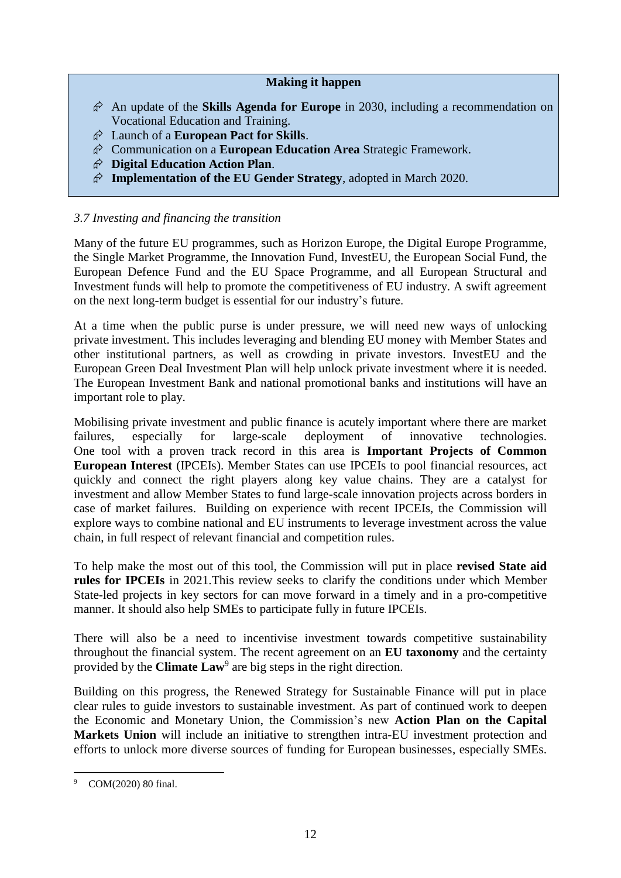### **Making it happen**

- An update of the **Skills Agenda for Europe** in 2030, including a recommendation on Vocational Education and Training.
- Launch of a **European Pact for Skills**.
- Communication on a **European Education Area** Strategic Framework.
- **Digital Education Action Plan**.
- **Implementation of the EU Gender Strategy**, adopted in March 2020.

## *3.7 Investing and financing the transition*

Many of the future EU programmes, such as Horizon Europe, the Digital Europe Programme, the Single Market Programme, the Innovation Fund, InvestEU, the European Social Fund, the European Defence Fund and the EU Space Programme, and all European Structural and Investment funds will help to promote the competitiveness of EU industry. A swift agreement on the next long-term budget is essential for our industry's future.

At a time when the public purse is under pressure, we will need new ways of unlocking private investment. This includes leveraging and blending EU money with Member States and other institutional partners, as well as crowding in private investors. InvestEU and the European Green Deal Investment Plan will help unlock private investment where it is needed. The European Investment Bank and national promotional banks and institutions will have an important role to play.

Mobilising private investment and public finance is acutely important where there are market failures, especially for large-scale deployment of innovative technologies. One tool with a proven track record in this area is **Important Projects of Common European Interest** (IPCEIs). Member States can use IPCEIs to pool financial resources, act quickly and connect the right players along key value chains. They are a catalyst for investment and allow Member States to fund large-scale innovation projects across borders in case of market failures. Building on experience with recent IPCEIs, the Commission will explore ways to combine national and EU instruments to leverage investment across the value chain, in full respect of relevant financial and competition rules.

To help make the most out of this tool, the Commission will put in place **revised State aid rules for IPCEIs** in 2021.This review seeks to clarify the conditions under which Member State-led projects in key sectors for can move forward in a timely and in a pro-competitive manner. It should also help SMEs to participate fully in future IPCEIs.

There will also be a need to incentivise investment towards competitive sustainability throughout the financial system. The recent agreement on an **EU taxonomy** and the certainty provided by the **Climate Law**<sup>9</sup> are big steps in the right direction.

Building on this progress, the Renewed Strategy for Sustainable Finance will put in place clear rules to guide investors to sustainable investment. As part of continued work to deepen the Economic and Monetary Union, the Commission's new **Action Plan on the Capital Markets Union** will include an initiative to strengthen intra-EU investment protection and efforts to unlock more diverse sources of funding for European businesses, especially SMEs.

COM(2020) 80 final.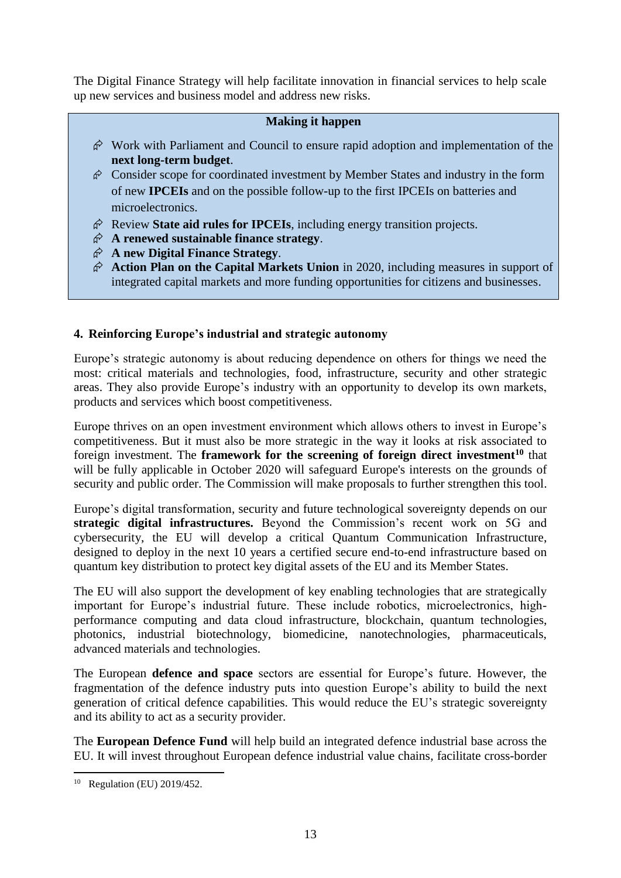The Digital Finance Strategy will help facilitate innovation in financial services to help scale up new services and business model and address new risks.

#### **Making it happen**

- $\hat{\varphi}$  Work with Parliament and Council to ensure rapid adoption and implementation of the **next long-term budget**.
- $\hat{\varphi}$  Consider scope for coordinated investment by Member States and industry in the form of new **IPCEIs** and on the possible follow-up to the first IPCEIs on batteries and microelectronics.
- $\hat{\varphi}$  Review **State aid rules for IPCEIs**, including energy transition projects.
- **A renewed sustainable finance strategy**.
- **A new Digital Finance Strategy**.
- $\hat{\varphi}$  Action Plan on the Capital Markets Union in 2020, including measures in support of integrated capital markets and more funding opportunities for citizens and businesses.

# **4. Reinforcing Europe's industrial and strategic autonomy**

Europe's strategic autonomy is about reducing dependence on others for things we need the most: critical materials and technologies, food, infrastructure, security and other strategic areas. They also provide Europe's industry with an opportunity to develop its own markets, products and services which boost competitiveness.

Europe thrives on an open investment environment which allows others to invest in Europe's competitiveness. But it must also be more strategic in the way it looks at risk associated to foreign investment. The **framework for the screening of foreign direct investment<sup>10</sup>** that will be fully applicable in October 2020 will safeguard Europe's interests on the grounds of security and public order. The Commission will make proposals to further strengthen this tool.

Europe's digital transformation, security and future technological sovereignty depends on our **strategic digital infrastructures.** Beyond the Commission's recent work on 5G and cybersecurity, the EU will develop a critical Quantum Communication Infrastructure, designed to deploy in the next 10 years a certified secure end-to-end infrastructure based on quantum key distribution to protect key digital assets of the EU and its Member States.

The EU will also support the development of key enabling technologies that are strategically important for Europe's industrial future. These include robotics, microelectronics, highperformance computing and data cloud infrastructure, blockchain, quantum technologies, photonics, industrial biotechnology, biomedicine, nanotechnologies, pharmaceuticals, advanced materials and technologies.

The European **defence and space** sectors are essential for Europe's future. However, the fragmentation of the defence industry puts into question Europe's ability to build the next generation of critical defence capabilities. This would reduce the EU's strategic sovereignty and its ability to act as a security provider.

The **European Defence Fund** will help build an integrated defence industrial base across the EU. It will invest throughout European defence industrial value chains, facilitate cross-border

<sup>1</sup> <sup>10</sup> Regulation (EU) 2019/452.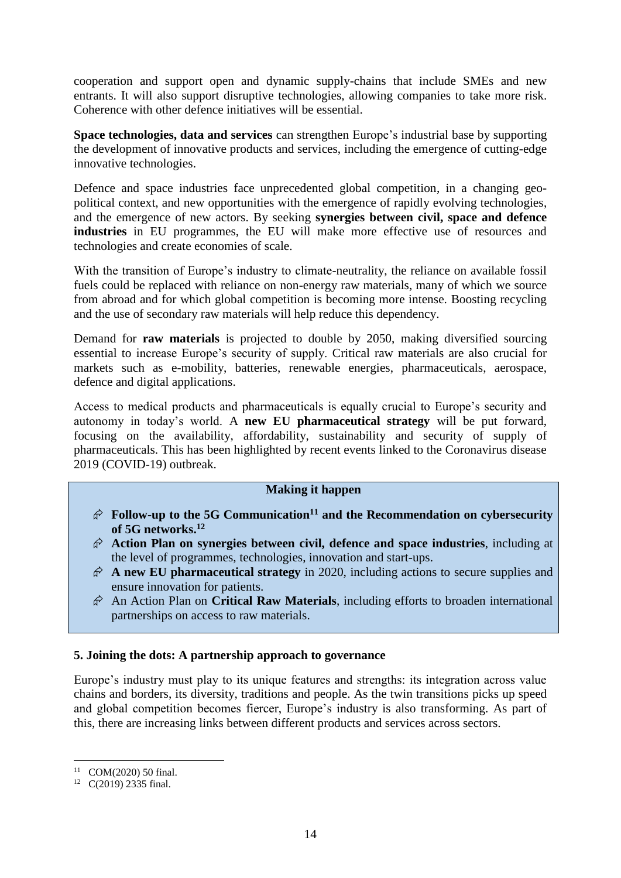cooperation and support open and dynamic supply-chains that include SMEs and new entrants. It will also support disruptive technologies, allowing companies to take more risk. Coherence with other defence initiatives will be essential.

**Space technologies, data and services** can strengthen Europe's industrial base by supporting the development of innovative products and services, including the emergence of cutting-edge innovative technologies.

Defence and space industries face unprecedented global competition, in a changing geopolitical context, and new opportunities with the emergence of rapidly evolving technologies, and the emergence of new actors. By seeking **synergies between civil, space and defence industries** in EU programmes, the EU will make more effective use of resources and technologies and create economies of scale.

With the transition of Europe's industry to climate-neutrality, the reliance on available fossil fuels could be replaced with reliance on non-energy raw materials, many of which we source from abroad and for which global competition is becoming more intense. Boosting recycling and the use of secondary raw materials will help reduce this dependency.

Demand for **raw materials** is projected to double by 2050, making diversified sourcing essential to increase Europe's security of supply. Critical raw materials are also crucial for markets such as e-mobility, batteries, renewable energies, pharmaceuticals, aerospace, defence and digital applications.

Access to medical products and pharmaceuticals is equally crucial to Europe's security and autonomy in today's world. A **new EU pharmaceutical strategy** will be put forward, focusing on the availability, affordability, sustainability and security of supply of pharmaceuticals. This has been highlighted by recent events linked to the Coronavirus disease 2019 (COVID-19) outbreak.

#### **Making it happen**

- $\hat{\varphi}$  Follow-up to the 5G Communication<sup>11</sup> and the Recommendation on cybersecurity **of 5G networks. 12**
- **Action Plan on synergies between civil, defence and space industries**, including at the level of programmes, technologies, innovation and start-ups.
- $\hat{\varphi}$  **A new EU pharmaceutical strategy** in 2020, including actions to secure supplies and ensure innovation for patients.
- An Action Plan on **Critical Raw Materials**, including efforts to broaden international partnerships on access to raw materials.

## **5. Joining the dots: A partnership approach to governance**

Europe's industry must play to its unique features and strengths: its integration across value chains and borders, its diversity, traditions and people. As the twin transitions picks up speed and global competition becomes fiercer, Europe's industry is also transforming. As part of this, there are increasing links between different products and services across sectors.

**<sup>.</sup>** <sup>11</sup> COM(2020) 50 final.

<sup>12</sup> C(2019) 2335 final.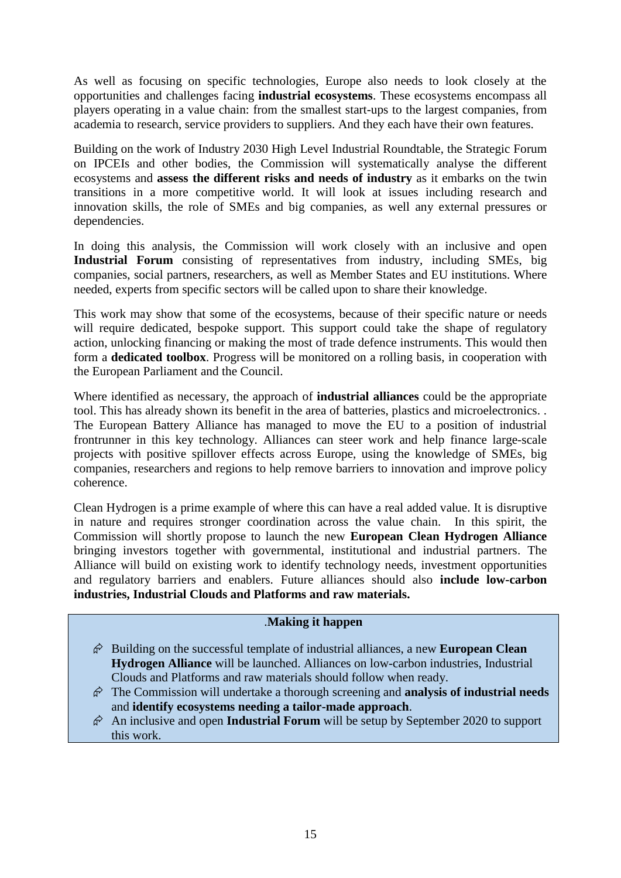As well as focusing on specific technologies, Europe also needs to look closely at the opportunities and challenges facing **industrial ecosystems**. These ecosystems encompass all players operating in a value chain: from the smallest start-ups to the largest companies, from academia to research, service providers to suppliers. And they each have their own features.

Building on the work of Industry 2030 High Level Industrial Roundtable, the Strategic Forum on IPCEIs and other bodies, the Commission will systematically analyse the different ecosystems and **assess the different risks and needs of industry** as it embarks on the twin transitions in a more competitive world. It will look at issues including research and innovation skills, the role of SMEs and big companies, as well any external pressures or dependencies.

In doing this analysis, the Commission will work closely with an inclusive and open **Industrial Forum** consisting of representatives from industry, including SMEs, big companies, social partners, researchers, as well as Member States and EU institutions. Where needed, experts from specific sectors will be called upon to share their knowledge.

This work may show that some of the ecosystems, because of their specific nature or needs will require dedicated, bespoke support. This support could take the shape of regulatory action, unlocking financing or making the most of trade defence instruments. This would then form a **dedicated toolbox**. Progress will be monitored on a rolling basis, in cooperation with the European Parliament and the Council.

Where identified as necessary, the approach of **industrial alliances** could be the appropriate tool. This has already shown its benefit in the area of batteries, plastics and microelectronics. . The European Battery Alliance has managed to move the EU to a position of industrial frontrunner in this key technology. Alliances can steer work and help finance large-scale projects with positive spillover effects across Europe, using the knowledge of SMEs, big companies, researchers and regions to help remove barriers to innovation and improve policy coherence.

Clean Hydrogen is a prime example of where this can have a real added value. It is disruptive in nature and requires stronger coordination across the value chain. In this spirit, the Commission will shortly propose to launch the new **European Clean Hydrogen Alliance** bringing investors together with governmental, institutional and industrial partners. The Alliance will build on existing work to identify technology needs, investment opportunities and regulatory barriers and enablers. Future alliances should also **include low-carbon industries, Industrial Clouds and Platforms and raw materials.**

## .**Making it happen**

- $\hat{\varphi}$  Building on the successful template of industrial alliances, a new **European Clean Hydrogen Alliance** will be launched. Alliances on low-carbon industries, Industrial Clouds and Platforms and raw materials should follow when ready.
- The Commission will undertake a thorough screening and **analysis of industrial needs** and **identify ecosystems needing a tailor-made approach**.
- $\hat{\varphi}$  An inclusive and open **Industrial Forum** will be setup by September 2020 to support this work.